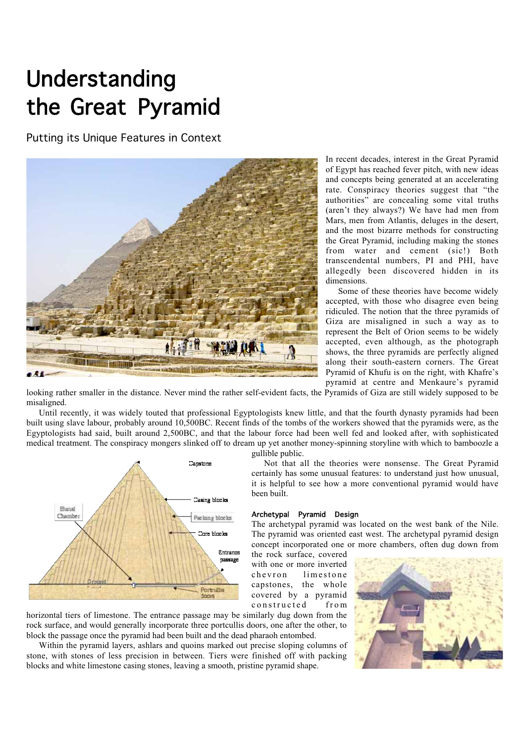# Understanding the Great Pyramid

Putting its Unique Features in Context



In recent decades, interest in the Great Pyramid of Egypt has reached fever pitch, with new ideas and concepts being generated at an accelerating rate. Conspiracy theories suggest that "the authorities" are concealing some vital truths (aren't they always?) We have had men from Mars, men from Atlantis, deluges in the desert, and the most bizarre methods for constructing the Great Pyramid, including making the stones from water and cement (sic!) Both transcendental numbers, PI and PHI, have allegedly been discovered hidden in its dimensions.

Some of these theories have become widely accepted, with those who disagree even being ridiculed. The notion that the three pyramids of Giza are misaligned in such a way as to represent the Belt of Orion seems to be widely accepted, even although, as the photograph shows, the three pyramids are perfectly aligned along their south-eastern corners. The Great Pyramid of Khufu is on the right, with Khafre's pyramid at centre and Menkaure's pyramid

looking rather smaller in the distance. Never mind the rather self-evident facts, the Pyramids of Giza are still widely supposed to be misaligned.

Until recently, it was widely touted that professional Egyptologists knew little, and that the fourth dynasty pyramids had been built using slave labour, probably around 10,500BC. Recent finds of the tombs of the workers showed that the pyramids were, as the Egyptologists had said, built around 2,500BC, and that the labour force had been well fed and looked after, with sophisticated medical treatment. The conspiracy mongers slinked off to dream up yet another money-spinning storyline with which to bamboozle a



gullible public.

Not that all the theories were nonsense. The Great Pyramid certainly has some unusual features: to understand just how unusual, it is helpful to see how a more conventional pyramid would have been built.

## Archetypal Pyramid Design

The archetypal pyramid was located on the west bank of the Nile. The pyramid was oriented east west. The archetypal pyramid design concept incorporated one or more chambers, often dug down from

the rock surface, covered with one or more inverted chevron limestone capstones, the whole covered by a pyramid constructed from

horizontal tiers of limestone. The entrance passage may be similarly dug down from the rock surface, and would generally incorporate three portcullis doors, one after the other, to block the passage once the pyramid had been built and the dead pharaoh entombed.

Within the pyramid layers, ashlars and quoins marked out precise sloping columns of stone, with stones of less precision in between. Tiers were finished off with packing blocks and white limestone casing stones, leaving a smooth, pristine pyramid shape.

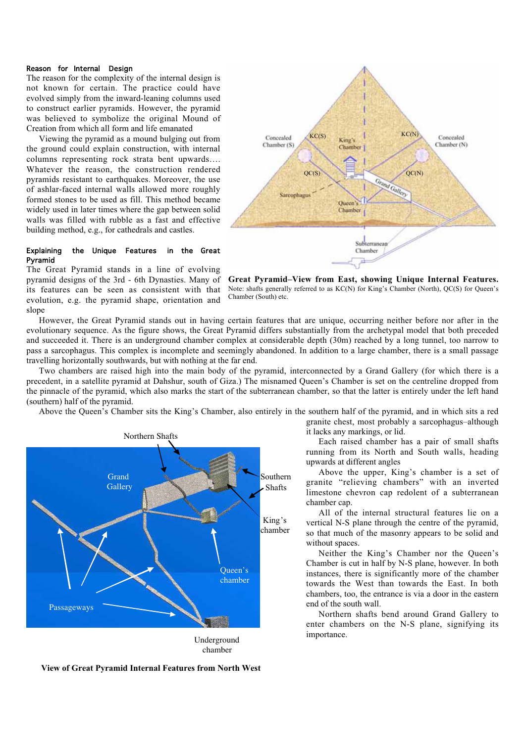## Reason for Internal Design

The reason for the complexity of the internal design is not known for certain. The practice could have evolved simply from the inward-leaning columns used to construct earlier pyramids. However, the pyramid was believed to symbolize the original Mound of Creation from which all form and life emanated

Viewing the pyramid as a mound bulging out from the ground could explain construction, with internal columns representing rock strata bent upwards…. Whatever the reason, the construction rendered pyramids resistant to earthquakes. Moreover, the use of ashlar-faced internal walls allowed more roughly formed stones to be used as fill. This method became widely used in later times where the gap between solid walls was filled with rubble as a fast and effective building method, e.g., for cathedrals and castles.

## Explaining the Unique Features in the Great Pyramid



The Great Pyramid stands in a line of evolving pyramid designs of the 3rd - 6th Dynasties. Many of its features can be seen as consistent with that evolution, e.g. the pyramid shape, orientation and slope

**Great Pyramid–View from East, showing Unique Internal Features.** Note: shafts generally referred to as KC(N) for King's Chamber (North), QC(S) for Queen's Chamber (South) etc.

However, the Great Pyramid stands out in having certain features that are unique, occurring neither before nor after in the evolutionary sequence. As the figure shows, the Great Pyramid differs substantially from the archetypal model that both preceded and succeeded it. There is an underground chamber complex at considerable depth (30m) reached by a long tunnel, too narrow to pass a sarcophagus. This complex is incomplete and seemingly abandoned. In addition to a large chamber, there is a small passage travelling horizontally southwards, but with nothing at the far end.

Two chambers are raised high into the main body of the pyramid, interconnected by a Grand Gallery (for which there is a precedent, in a satellite pyramid at Dahshur, south of Giza.) The misnamed Queen's Chamber is set on the centreline dropped from the pinnacle of the pyramid, which also marks the start of the subterranean chamber, so that the latter is entirely under the left hand (southern) half of the pyramid.

Above the Queen's Chamber sits the King's Chamber, also entirely in the southern half of the pyramid, and in which sits a red



chamber

granite chest, most probably a sarcophagus–although it lacks any markings, or lid.

Each raised chamber has a pair of small shafts running from its North and South walls, heading upwards at different angles

Above the upper, King's chamber is a set of granite "relieving chambers" with an inverted limestone chevron cap redolent of a subterranean chamber cap.

All of the internal structural features lie on a vertical N-S plane through the centre of the pyramid, so that much of the masonry appears to be solid and without spaces.

Neither the King's Chamber nor the Queen's Chamber is cut in half by N-S plane, however. In both instances, there is significantly more of the chamber towards the West than towards the East. In both chambers, too, the entrance is via a door in the eastern end of the south wall.

Northern shafts bend around Grand Gallery to enter chambers on the N-S plane, signifying its importance.

 **View of Great Pyramid Internal Features from North West**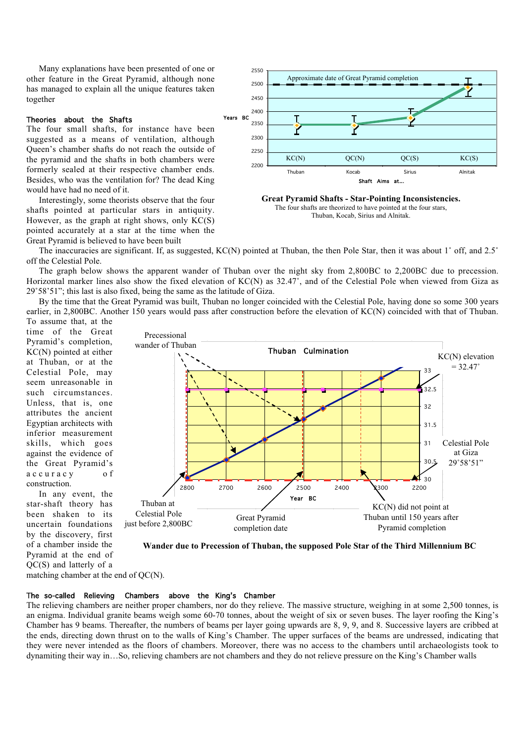Many explanations have been presented of one or other feature in the Great Pyramid, although none has managed to explain all the unique features taken together

## Theories about the Shafts

The four small shafts, for instance have been suggested as a means of ventilation, although Queen's chamber shafts do not reach the outside of the pyramid and the shafts in both chambers were formerly sealed at their respective chamber ends. Besides, who was the ventilation for? The dead King would have had no need of it.

Interestingly, some theorists observe that the four shafts pointed at particular stars in antiquity. However, as the graph at right shows, only KC(S) pointed accurately at a star at the time when the Great Pyramid is believed to have been built



**Great Pyramid Shafts - Star-Pointing Inconsistencies.** The four shafts are theorized to have pointed at the four stars, Thuban, Kocab, Sirius and Alnitak.

The inaccuracies are significant. If, as suggested, KC(N) pointed at Thuban, the then Pole Star, then it was about 1° off, and 2.5° off the Celestial Pole.

The graph below shows the apparent wander of Thuban over the night sky from 2,800BC to 2,200BC due to precession. Horizontal marker lines also show the fixed elevation of KC(N) as 32.47°, and of the Celestial Pole when viewed from Giza as 29˚58'51"; this last is also fixed, being the same as the latitude of Giza.

By the time that the Great Pyramid was built, Thuban no longer coincided with the Celestial Pole, having done so some 300 years earlier, in 2,800BC. Another 150 years would pass after construction before the elevation of KC(N) coincided with that of Thuban.

To assume that, at the time of the Great Pyramid's completion, KC(N) pointed at either at Thuban, or at the Celestial Pole, may seem unreasonable in such circumstances. Unless, that is, one attributes the ancient Egyptian architects with inferior measurement skills, which goes against the evidence of the Great Pyramid's accuracy of construction.

In any event, the star-shaft theory has been shaken to its uncertain foundations by the discovery, first of a chamber inside the Pyramid at the end of QC(S) and latterly of a



**Wander due to Precession of Thuban, the supposed Pole Star of the Third Millennium BC**

matching chamber at the end of QC(N).

## The so-called Relieving Chambers above the King's Chamber

The relieving chambers are neither proper chambers, nor do they relieve. The massive structure, weighing in at some 2,500 tonnes, is an enigma. Individual granite beams weigh some 60-70 tonnes, about the weight of six or seven buses. The layer roofing the King's Chamber has 9 beams. Thereafter, the numbers of beams per layer going upwards are 8, 9, 9, and 8. Successive layers are cribbed at the ends, directing down thrust on to the walls of King's Chamber. The upper surfaces of the beams are undressed, indicating that they were never intended as the floors of chambers. Moreover, there was no access to the chambers until archaeologists took to dynamiting their way in…So, relieving chambers are not chambers and they do not relieve pressure on the King's Chamber walls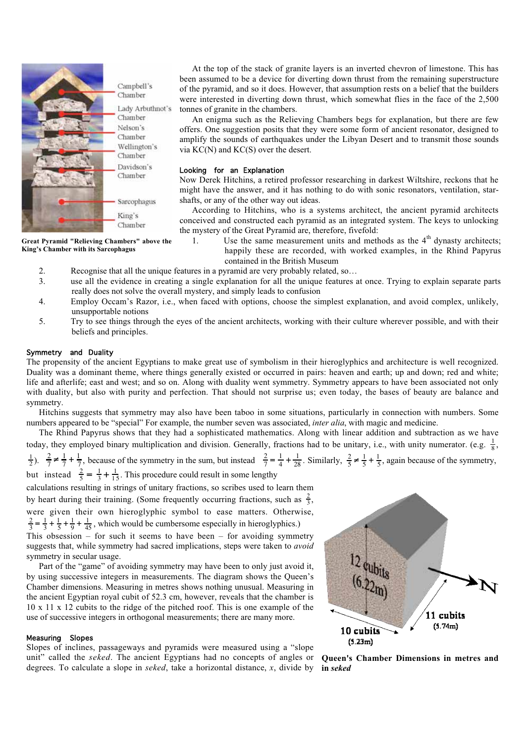

At the top of the stack of granite layers is an inverted chevron of limestone. This has been assumed to be a device for diverting down thrust from the remaining superstructure of the pyramid, and so it does. However, that assumption rests on a belief that the builders were interested in diverting down thrust, which somewhat flies in the face of the 2,500 tonnes of granite in the chambers.

An enigma such as the Relieving Chambers begs for explanation, but there are few offers. One suggestion posits that they were some form of ancient resonator, designed to amplify the sounds of earthquakes under the Libyan Desert and to transmit those sounds via KC(N) and KC(S) over the desert.

## Looking for an Explanation

Now Derek Hitchins, a retired professor researching in darkest Wiltshire, reckons that he might have the answer, and it has nothing to do with sonic resonators, ventilation, starshafts, or any of the other way out ideas.

According to Hitchins, who is a systems architect, the ancient pyramid architects conceived and constructed each pyramid as an integrated system. The keys to unlocking the mystery of the Great Pyramid are, therefore, fivefold:

**Great Pyramid "Relieving Chambers" above the King's Chamber with its Sarcophagus**

1. Use the same measurement units and methods as the  $4<sup>th</sup>$  dynasty architects: happily these are recorded, with worked examples, in the Rhind Papyrus contained in the British Museum

- 2. Recognise that all the unique features in a pyramid are very probably related, so…
- 3. use all the evidence in creating a single explanation for all the unique features at once. Trying to explain separate parts really does not solve the overall mystery, and simply leads to confusion
- 4. Employ Occam's Razor, i.e., when faced with options, choose the simplest explanation, and avoid complex, unlikely, unsupportable notions
- 5. Try to see things through the eyes of the ancient architects, working with their culture wherever possible, and with their beliefs and principles.

## Symmetry and Duality

The propensity of the ancient Egyptians to make great use of symbolism in their hieroglyphics and architecture is well recognized. Duality was a dominant theme, where things generally existed or occurred in pairs: heaven and earth; up and down; red and white; life and afterlife; east and west; and so on. Along with duality went symmetry. Symmetry appears to have been associated not only with duality, but also with purity and perfection. That should not surprise us; even today, the bases of beauty are balance and symmetry.

Hitchins suggests that symmetry may also have been taboo in some situations, particularly in connection with numbers. Some numbers appeared to be "special" For example, the number seven was associated, *inter alia*, with magic and medicine.

The Rhind Papyrus shows that they had a sophisticated mathematics. Along with linear addition and subtraction as we have today, they employed binary multiplication and division. Generally, fractions had to be unitary, i.e., with unity numerator. (e.g.  $\frac{1}{8}$ ,

 $\frac{1}{2}$ ).  $\frac{2}{7} \neq \frac{1}{7} + \frac{1}{7}$ , because of the symmetry in the sum, but instead  $\frac{2}{7} = \frac{1}{4} + \frac{1}{28}$ . Similarly,  $\frac{2}{5} \neq \frac{1}{5} + \frac{1}{5}$ , again because of the symmetry,

but instead  $\frac{2}{5} = \frac{1}{3} + \frac{1}{15}$ . This procedure could result in some lengthy

calculations resulting in strings of unitary fractions, so scribes used to learn them by heart during their training. (Some frequently occurring fractions, such as  $\frac{2}{3}$ , were given their own hieroglyphic symbol to ease matters. Otherwise,  $\frac{2}{3} = \frac{1}{3} + \frac{1}{5} + \frac{1}{9} + \frac{1}{45}$ , which would be cumbersome especially in hieroglyphics.)

This obsession – for such it seems to have been – for avoiding symmetry suggests that, while symmetry had sacred implications, steps were taken to *avoid* symmetry in secular usage.

Part of the "game" of avoiding symmetry may have been to only just avoid it, by using successive integers in measurements. The diagram shows the Queen's Chamber dimensions. Measuring in metres shows nothing unusual. Measuring in the ancient Egyptian royal cubit of 52.3 cm, however, reveals that the chamber is 10 x 11 x 12 cubits to the ridge of the pitched roof. This is one example of the use of successive integers in orthogonal measurements; there are many more.

#### Measuring Slopes

Slopes of inclines, passageways and pyramids were measured using a "slope unit" called the *seked*. The ancient Egyptians had no concepts of angles or degrees. To calculate a slope in *seked*, take a horizontal distance, *x*, divide by



**Queen's Chamber Dimensions in metres and in** *seked*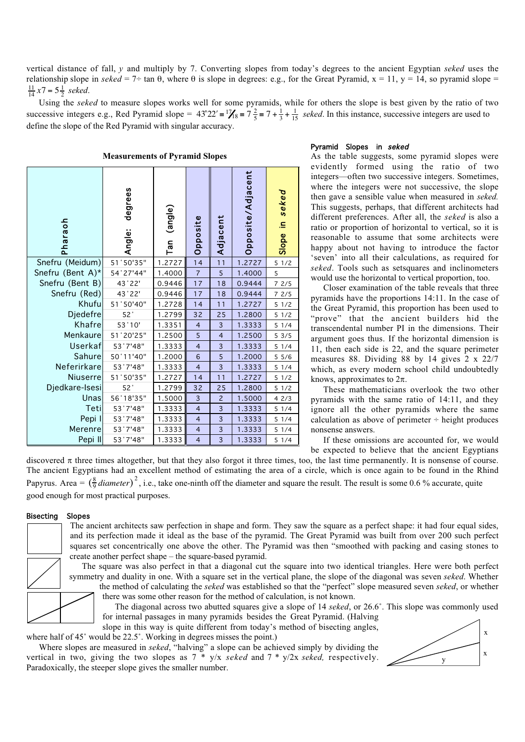vertical distance of fall, *y* and multiply by 7. Converting slopes from today's degrees to the ancient Egyptian *seked* uses the relationship slope in *seked* = 7÷ tan  $\theta$ , where  $\theta$  is slope in degrees: e.g., for the Great Pyramid, x = 11, y = 14, so pyramid slope =  $\frac{11}{14}x7 = 5\frac{1}{2}$  *seked.* 

Using the *seked* to measure slopes works well for some pyramids, while for others the slope is best given by the ratio of two successive integers e.g., Red Pyramid slope =  $43^{\circ}22' = 1\frac{7}{8} = 7 + \frac{1}{3} + \frac{1}{15}$  *seked*. In this instance, successive integers are used to define the slope of the Red Pyramid with singular accuracy.

| Pharaoh          | degrees<br>Angle: | (angle)<br>Tan | Opposite                | Adjacent                | Opposite/Adjacent | Slope in seked |
|------------------|-------------------|----------------|-------------------------|-------------------------|-------------------|----------------|
| Snefru (Meidum)  | 51°50'35"         | 1.2727         | 14                      | 11                      | 1.2727            | 51/2           |
| Snefru (Bent A)* | 54°27'44"         | 1.4000         | 7                       | 5                       | 1.4000            | 5              |
| Snefru (Bent B)  | 43°22'            | 0.9446         | 17                      | 18                      | 0.9444            | 72/5           |
| Snefru (Red)     | 43°22'            | 0.9446         | 17                      | 18                      | 0.9444            | 72/5           |
| Khufu            | 51°50'40"         | 1.2728         | 14                      | 11                      | 1.2727            | 51/2           |
| <b>Djedefre</b>  | 52°               | 1.2799         | 32                      | 25                      | 1.2800            | 51/2           |
| Khafre           | 53°10'            | 1.3351         | $\overline{4}$          | $\overline{\mathbf{3}}$ | 1.3333            | 51/4           |
| Menkaure         | 51°20'25"         | 1.2500         | 5                       | $\overline{\mathbf{4}}$ | 1.2500            | 53/5           |
| <b>Userkaf</b>   | 53°7'48"          | 1.3333         | $\overline{4}$          | 3                       | 1.3333            | 51/4           |
| Sahure           | 50°11'40"         | 1.2000         | 6                       | 5                       | 1.2000            | 55/6           |
| Neferirkare      | 53°7'48"          | 1.3333         | $\overline{4}$          | $\overline{\mathbf{3}}$ | 1.3333            | 51/4           |
| <b>Niuserre</b>  | 51°50'35"         | 1.2727         | 14                      | 11                      | 1.2727            | 51/2           |
| Djedkare-Isesi   | 52°               | 1.2799         | 32                      | 25                      | 1.2800            | 51/2           |
| Unas             | 56°18'35"         | 1.5000         | 3                       | $\overline{c}$          | 1.5000            | 42/3           |
| Teti             | 53°7'48"          | 1.3333         | $\overline{4}$          | 3                       | 1.3333            | 51/4           |
| Pepi I           | 53°7'48"          | 1.3333         | $\overline{4}$          | 3                       | 1.3333            | 51/4           |
| Merenre          | 53°7'48"          | 1.3333         | $\overline{4}$          | 3                       | 1.3333            | 51/4           |
| Pepi II          | 53°7'48"          | 1.3333         | $\overline{\mathbf{4}}$ | $\overline{\mathbf{3}}$ | 1.3333            | 51/4           |

#### **Measurements of Pyramid Slopes**

#### Pyramid Slopes in seked

As the table suggests, some pyramid slopes were evidently formed using the ratio of two integers—often two successive integers. Sometimes, where the integers were not successive, the slope then gave a sensible value when measured in *seked.* This suggests, perhaps, that different architects had different preferences. After all, the *seked* is also a ratio or proportion of horizontal to vertical, so it is reasonable to assume that some architects were happy about not having to introduce the factor 'seven' into all their calculations, as required for *seked*. Tools such as setsquares and inclinometers would use the horizontal to vertical proportion, too.

Closer examination of the table reveals that three pyramids have the proportions 14:11. In the case of the Great Pyramid, this proportion has been used to "prove" that the ancient builders hid the transcendental number PI in the dimensions. Their argument goes thus. If the horizontal dimension is 11, then each side is 22, and the square perimeter measures 88. Dividing 88 by 14 gives 2 x 22/7 which, as every modern school child undoubtedly knows, approximates to  $2\pi$ .

These mathematicians overlook the two other pyramids with the same ratio of 14:11, and they ignore all the other pyramids where the same calculation as above of perimeter  $\div$  height produces nonsense answers.

If these omissions are accounted for, we would be expected to believe that the ancient Egyptians

discovered  $\pi$  three times altogether, but that they also forgot it three times, too, the last time permanently. It is nonsense of course. The ancient Egyptians had an excellent method of estimating the area of a circle, which is once again to be found in the Rhind Papyrus. Area =  $(\frac{8}{9}$ *diameter* $)^2$ , i.e., take one-ninth off the diameter and square the result. The result is some 0.6 % accurate, quite good enough for most practical purposes.

#### Bisecting Slopes

The ancient architects saw perfection in shape and form. They saw the square as a perfect shape: it had four equal sides, and its perfection made it ideal as the base of the pyramid. The Great Pyramid was built from over 200 such perfect squares set concentrically one above the other. The Pyramid was then "smoothed with packing and casing stones to create another perfect shape – the square-based pyramid.

The square was also perfect in that a diagonal cut the square into two identical triangles. Here were both perfect symmetry and duality in one. With a square set in the vertical plane, the slope of the diagonal was seven *seked*. Whether the method of calculating the *seked* was established so that the "perfect" slope measured seven *seked*, or whether there was some other reason for the method of calculation, is not known.

The diagonal across two abutted squares give a slope of 14 *seked*, or 26.6˚. This slope was commonly used for internal passages in many pyramids besides the Great Pyramid. (Halving

slope in this way is quite different from today's method of bisecting angles, where half of 45° would be 22.5°. Working in degrees misses the point.)

Where slopes are measured in *seked*, "halving" a slope can be achieved simply by dividing the vertical in two, giving the two slopes as 7 \* y/x *seked* and 7 \* y/2x *seked,* respectively. Paradoxically, the steeper slope gives the smaller number.

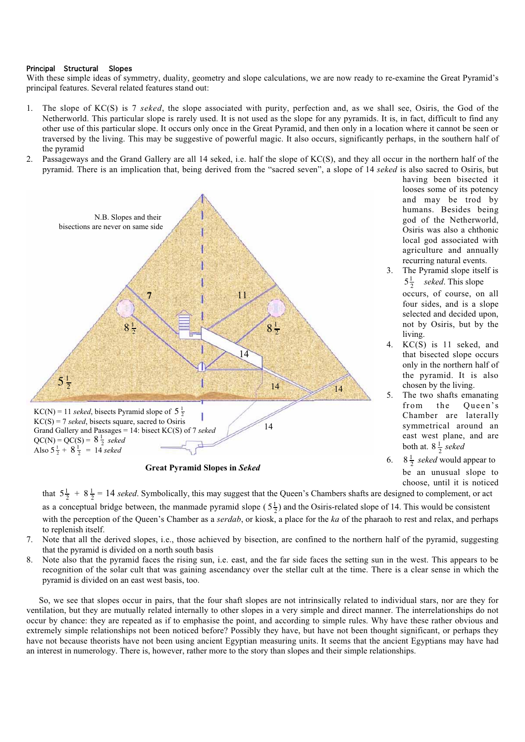## Principal Structural Slopes

With these simple ideas of symmetry, duality, geometry and slope calculations, we are now ready to re-examine the Great Pyramid's principal features. Several related features stand out:

- 1. The slope of KC(S) is 7 *seked*, the slope associated with purity, perfection and, as we shall see, Osiris, the God of the Netherworld. This particular slope is rarely used. It is not used as the slope for any pyramids. It is, in fact, difficult to find any other use of this particular slope. It occurs only once in the Great Pyramid, and then only in a location where it cannot be seen or traversed by the living. This may be suggestive of powerful magic. It also occurs, significantly perhaps, in the southern half of the pyramid
- 2. Passageways and the Grand Gallery are all 14 seked, i.e. half the slope of KC(S), and they all occur in the northern half of the pyramid. There is an implication that, being derived from the "sacred seven", a slope of 14 *seked* is also sacred to Osiris, but



**Great Pyramid Slopes in** *Seked*

looses some of its potency and may be trod by humans. Besides being god of the Netherworld, Osiris was also a chthonic local god associated with agriculture and annually recurring natural events. 3. The Pyramid slope itself is

having been bisected it

- $5\frac{1}{2}$  *seked*. This slope occurs, of course, on all four sides, and is a slope selected and decided upon, not by Osiris, but by the living.
- 4. KC(S) is 11 seked, and that bisected slope occurs only in the northern half of the pyramid. It is also chosen by the living.
- 5. The two shafts emanating from the Queen's Chamber are laterally symmetrical around an east west plane, and are both at.  $8\frac{1}{2}$  *seked*
- 6.  $8\frac{1}{2}$  *seked* would appear to be an unusual slope to choose, until it is noticed

that  $5\frac{1}{2} + 8\frac{1}{2} = 14$  *seked*. Symbolically, this may suggest that the Queen's Chambers shafts are designed to complement, or act as a conceptual bridge between, the manmade pyramid slope  $(5\frac{1}{2})$  and the Osiris-related slope of 14. This would be consistent

with the perception of the Queen's Chamber as a *serdab*, or kiosk, a place for the *ka* of the pharaoh to rest and relax, and perhaps to replenish itself.

- 7. Note that all the derived slopes, i.e., those achieved by bisection, are confined to the northern half of the pyramid, suggesting that the pyramid is divided on a north south basis
- 8. Note also that the pyramid faces the rising sun, i.e. east, and the far side faces the setting sun in the west. This appears to be recognition of the solar cult that was gaining ascendancy over the stellar cult at the time. There is a clear sense in which the pyramid is divided on an east west basis, too.

So, we see that slopes occur in pairs, that the four shaft slopes are not intrinsically related to individual stars, nor are they for ventilation, but they are mutually related internally to other slopes in a very simple and direct manner. The interrelationships do not occur by chance: they are repeated as if to emphasise the point, and according to simple rules. Why have these rather obvious and extremely simple relationships not been noticed before? Possibly they have, but have not been thought significant, or perhaps they have not because theorists have not been using ancient Egyptian measuring units. It seems that the ancient Egyptians may have had an interest in numerology. There is, however, rather more to the story than slopes and their simple relationships.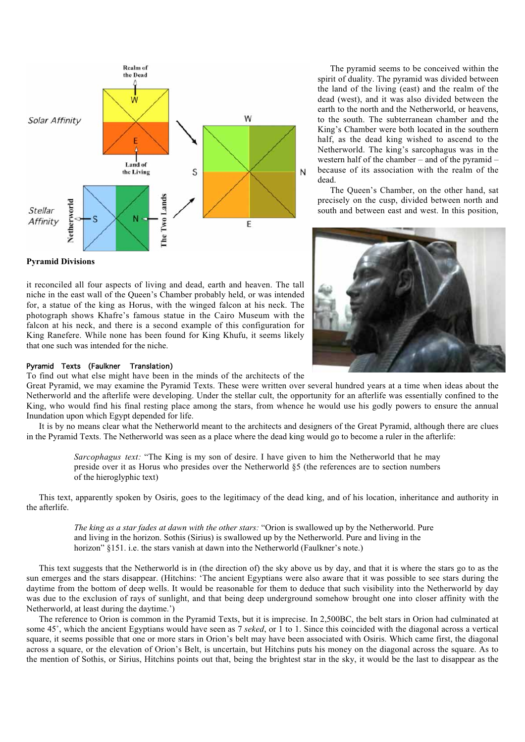

The pyramid seems to be conceived within the spirit of duality. The pyramid was divided between the land of the living (east) and the realm of the dead (west), and it was also divided between the earth to the north and the Netherworld, or heavens, to the south. The subterranean chamber and the King's Chamber were both located in the southern half, as the dead king wished to ascend to the Netherworld. The king's sarcophagus was in the western half of the chamber – and of the pyramid – because of its association with the realm of the dead.

The Queen's Chamber, on the other hand, sat precisely on the cusp, divided between north and south and between east and west. In this position,



# **Pyramid Divisions**

it reconciled all four aspects of living and dead, earth and heaven. The tall niche in the east wall of the Queen's Chamber probably held, or was intended for, a statue of the king as Horus, with the winged falcon at his neck. The photograph shows Khafre's famous statue in the Cairo Museum with the falcon at his neck, and there is a second example of this configuration for King Ranefere. While none has been found for King Khufu, it seems likely that one such was intended for the niche.

## Pyramid Texts (Faulkner Translation)

To find out what else might have been in the minds of the architects of the

Great Pyramid, we may examine the Pyramid Texts. These were written over several hundred years at a time when ideas about the Netherworld and the afterlife were developing. Under the stellar cult, the opportunity for an afterlife was essentially confined to the King, who would find his final resting place among the stars, from whence he would use his godly powers to ensure the annual Inundation upon which Egypt depended for life.

It is by no means clear what the Netherworld meant to the architects and designers of the Great Pyramid, although there are clues in the Pyramid Texts. The Netherworld was seen as a place where the dead king would go to become a ruler in the afterlife:

*Sarcophagus text:* "The King is my son of desire. I have given to him the Netherworld that he may preside over it as Horus who presides over the Netherworld §5 (the references are to section numbers of the hieroglyphic text)

This text, apparently spoken by Osiris, goes to the legitimacy of the dead king, and of his location, inheritance and authority in the afterlife.

*The king as a star fades at dawn with the other stars:* "Orion is swallowed up by the Netherworld. Pure and living in the horizon. Sothis (Sirius) is swallowed up by the Netherworld. Pure and living in the horizon" §151. i.e. the stars vanish at dawn into the Netherworld (Faulkner's note.)

This text suggests that the Netherworld is in (the direction of) the sky above us by day, and that it is where the stars go to as the sun emerges and the stars disappear. (Hitchins: 'The ancient Egyptians were also aware that it was possible to see stars during the daytime from the bottom of deep wells. It would be reasonable for them to deduce that such visibility into the Netherworld by day was due to the exclusion of rays of sunlight, and that being deep underground somehow brought one into closer affinity with the Netherworld, at least during the daytime.')

The reference to Orion is common in the Pyramid Texts, but it is imprecise. In 2,500BC, the belt stars in Orion had culminated at some 45˚, which the ancient Egyptians would have seen as 7 *seked*, or 1 to 1. Since this coincided with the diagonal across a vertical square, it seems possible that one or more stars in Orion's belt may have been associated with Osiris. Which came first, the diagonal across a square, or the elevation of Orion's Belt, is uncertain, but Hitchins puts his money on the diagonal across the square. As to the mention of Sothis, or Sirius, Hitchins points out that, being the brightest star in the sky, it would be the last to disappear as the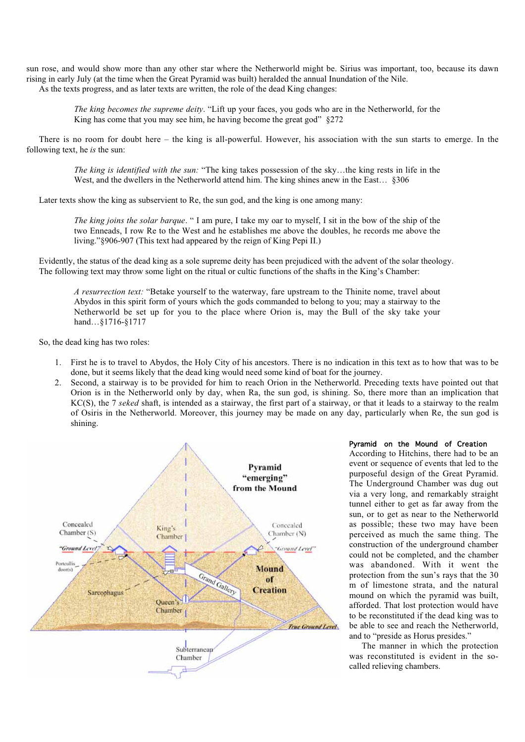sun rose, and would show more than any other star where the Netherworld might be. Sirius was important, too, because its dawn rising in early July (at the time when the Great Pyramid was built) heralded the annual Inundation of the Nile. As the texts progress, and as later texts are written, the role of the dead King changes:

*The king becomes the supreme deity*. "Lift up your faces, you gods who are in the Netherworld, for the King has come that you may see him, he having become the great god" §272

There is no room for doubt here – the king is all-powerful. However, his association with the sun starts to emerge. In the following text, he *is* the sun:

*The king is identified with the sun:* "The king takes possession of the sky…the king rests in life in the West, and the dwellers in the Netherworld attend him. The king shines anew in the East… §306

Later texts show the king as subservient to Re, the sun god, and the king is one among many:

*The king joins the solar barque*. " I am pure, I take my oar to myself, I sit in the bow of the ship of the two Enneads, I row Re to the West and he establishes me above the doubles, he records me above the living."§906-907 (This text had appeared by the reign of King Pepi II.)

Evidently, the status of the dead king as a sole supreme deity has been prejudiced with the advent of the solar theology. The following text may throw some light on the ritual or cultic functions of the shafts in the King's Chamber:

*A resurrection text:* "Betake yourself to the waterway, fare upstream to the Thinite nome, travel about Abydos in this spirit form of yours which the gods commanded to belong to you; may a stairway to the Netherworld be set up for you to the place where Orion is, may the Bull of the sky take your hand…§1716-§1717

So, the dead king has two roles:

- 1. First he is to travel to Abydos, the Holy City of his ancestors. There is no indication in this text as to how that was to be done, but it seems likely that the dead king would need some kind of boat for the journey.
- 2. Second, a stairway is to be provided for him to reach Orion in the Netherworld. Preceding texts have pointed out that Orion is in the Netherworld only by day, when Ra, the sun god, is shining. So, there more than an implication that KC(S), the 7 *seked* shaft, is intended as a stairway, the first part of a stairway, or that it leads to a stairway to the realm of Osiris in the Netherworld. Moreover, this journey may be made on any day, particularly when Re, the sun god is shining.



## Pyramid on the Mound of Creation

According to Hitchins, there had to be an event or sequence of events that led to the purposeful design of the Great Pyramid. The Underground Chamber was dug out via a very long, and remarkably straight tunnel either to get as far away from the sun, or to get as near to the Netherworld as possible; these two may have been perceived as much the same thing. The construction of the underground chamber could not be completed, and the chamber was abandoned. With it went the protection from the sun's rays that the 30 m of limestone strata, and the natural mound on which the pyramid was built, afforded. That lost protection would have to be reconstituted if the dead king was to be able to see and reach the Netherworld, and to "preside as Horus presides."

The manner in which the protection was reconstituted is evident in the socalled relieving chambers.